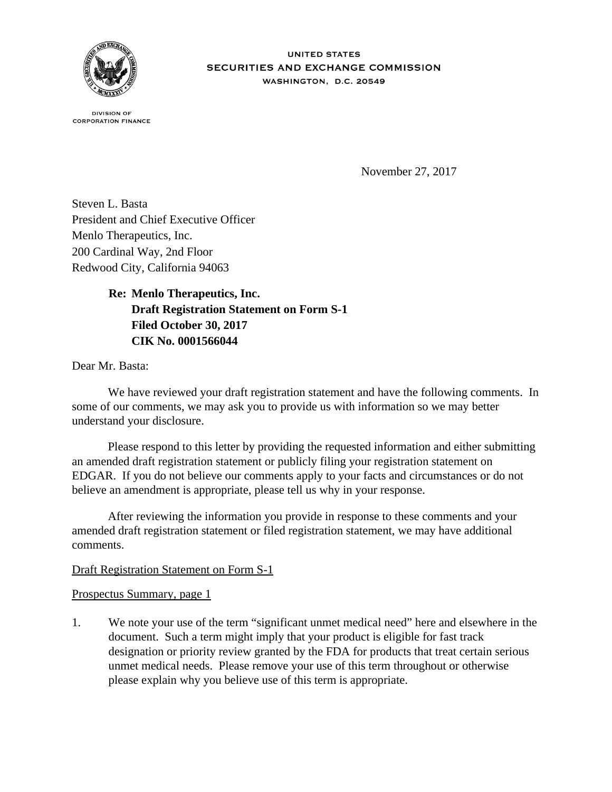

**IINITED STATES** SECURITIES AND EXCHANGE COMMISSION WASHINGTON, D.C. 20549

**DIVISION OF CORPORATION FINANCE** 

November 27, 2017

Steven L. Basta President and Chief Executive Officer Menlo Therapeutics, Inc. 200 Cardinal Way, 2nd Floor Redwood City, California 94063

> **Re: Menlo Therapeutics, Inc. Draft Registration Statement on Form S-1 Filed October 30, 2017 CIK No. 0001566044**

Dear Mr. Basta:

We have reviewed your draft registration statement and have the following comments. In some of our comments, we may ask you to provide us with information so we may better understand your disclosure.

 Please respond to this letter by providing the requested information and either submitting an amended draft registration statement or publicly filing your registration statement on EDGAR. If you do not believe our comments apply to your facts and circumstances or do not believe an amendment is appropriate, please tell us why in your response.

 After reviewing the information you provide in response to these comments and your amended draft registration statement or filed registration statement, we may have additional comments.

## Draft Registration Statement on Form S-1

Prospectus Summary, page 1

1. We note your use of the term "significant unmet medical need" here and elsewhere in the document. Such a term might imply that your product is eligible for fast track designation or priority review granted by the FDA for products that treat certain serious unmet medical needs. Please remove your use of this term throughout or otherwise please explain why you believe use of this term is appropriate.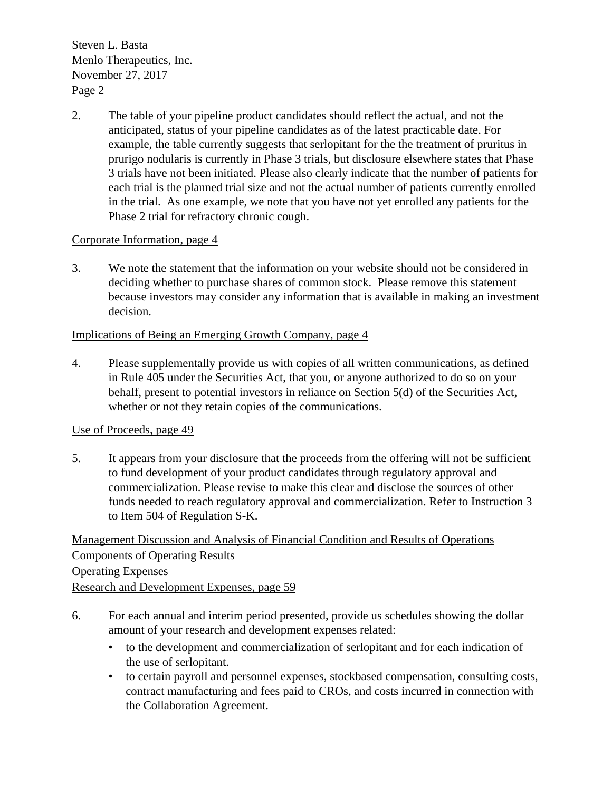$\frac{1}{2}$  Menlo Therapeutics, Inc. November  $27, 2017$ Page 2 Steven L. Basta

2. The table of your pipeline product candidates should reflect the actual, and not the anticipated, status of your pipeline candidates as of the latest practicable date. For example, the table currently suggests that serlopitant for the the treatment of pruritus in prurigo nodularis is currently in Phase 3 trials, but disclosure elsewhere states that Phase 3 trials have not been initiated. Please also clearly indicate that the number of patients for each trial is the planned trial size and not the actual number of patients currently enrolled in the trial. As one example, we note that you have not yet enrolled any patients for the Phase 2 trial for refractory chronic cough.

## Corporate Information, page 4

3. We note the statement that the information on your website should not be considered in deciding whether to purchase shares of common stock. Please remove this statement because investors may consider any information that is available in making an investment decision.

# Implications of Being an Emerging Growth Company, page 4

4. Please supplementally provide us with copies of all written communications, as defined in Rule 405 under the Securities Act, that you, or anyone authorized to do so on your behalf, present to potential investors in reliance on Section 5(d) of the Securities Act, whether or not they retain copies of the communications.

## Use of Proceeds, page 49

5. It appears from your disclosure that the proceeds from the offering will not be sufficient to fund development of your product candidates through regulatory approval and commercialization. Please revise to make this clear and disclose the sources of other funds needed to reach regulatory approval and commercialization. Refer to Instruction 3 to Item 504 of Regulation S-K.

Management Discussion and Analysis of Financial Condition and Results of Operations Components of Operating Results Operating Expenses Research and Development Expenses, page 59

- 6. For each annual and interim period presented, provide us schedules showing the dollar amount of your research and development expenses related:
	- to the development and commercialization of serlopitant and for each indication of the use of serlopitant.
	- to certain payroll and personnel expenses, stockbased compensation, consulting costs, contract manufacturing and fees paid to CROs, and costs incurred in connection with the Collaboration Agreement.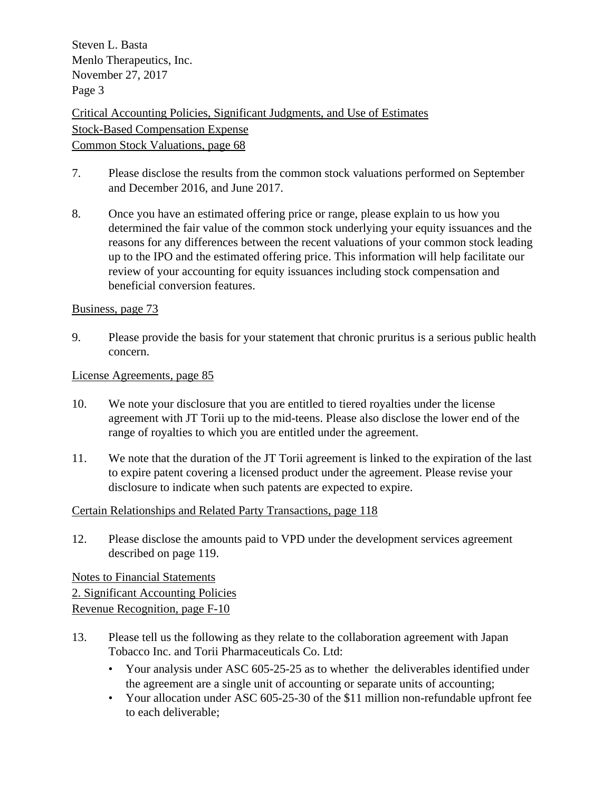$\frac{1}{2}$  Menlo Therapeutics, Inc. November  $27, 2017$ Page 3 Steven L. Basta

Critical Accounting Policies, Significant Judgments, and Use of Estimates Stock-Based Compensation Expense Common Stock Valuations, page 68

- 7. Please disclose the results from the common stock valuations performed on September and December 2016, and June 2017.
- 8. Once you have an estimated offering price or range, please explain to us how you determined the fair value of the common stock underlying your equity issuances and the reasons for any differences between the recent valuations of your common stock leading up to the IPO and the estimated offering price. This information will help facilitate our review of your accounting for equity issuances including stock compensation and beneficial conversion features.

### Business, page 73

9. Please provide the basis for your statement that chronic pruritus is a serious public health concern.

#### License Agreements, page 85

- 10. We note your disclosure that you are entitled to tiered royalties under the license agreement with JT Torii up to the mid-teens. Please also disclose the lower end of the range of royalties to which you are entitled under the agreement.
- 11. We note that the duration of the JT Torii agreement is linked to the expiration of the last to expire patent covering a licensed product under the agreement. Please revise your disclosure to indicate when such patents are expected to expire.

## Certain Relationships and Related Party Transactions, page 118

12. Please disclose the amounts paid to VPD under the development services agreement described on page 119.

Notes to Financial Statements 2. Significant Accounting Policies Revenue Recognition, page F-10

- 13. Please tell us the following as they relate to the collaboration agreement with Japan Tobacco Inc. and Torii Pharmaceuticals Co. Ltd:
	- Your analysis under ASC 605-25-25 as to whether the deliverables identified under the agreement are a single unit of accounting or separate units of accounting;
	- Your allocation under ASC 605-25-30 of the \$11 million non-refundable upfront fee to each deliverable;